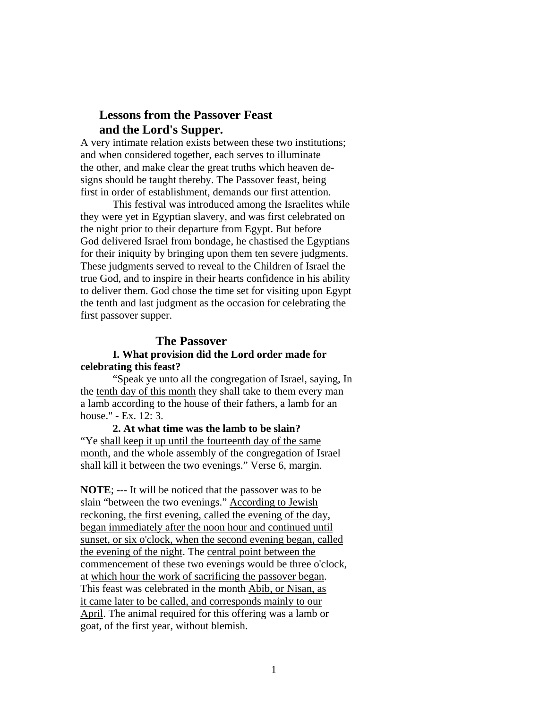# **Lessons from the Passover Feast and the Lord's Supper.**

A very intimate relation exists between these two institutions; and when considered together, each serves to illuminate the other, and make clear the great truths which heaven designs should be taught thereby. The Passover feast, being first in order of establishment, demands our first attention.

This festival was introduced among the Israelites while they were yet in Egyptian slavery, and was first celebrated on the night prior to their departure from Egypt. But before God delivered Israel from bondage, he chastised the Egyptians for their iniquity by bringing upon them ten severe judgments. These judgments served to reveal to the Children of Israel the true God, and to inspire in their hearts confidence in his ability to deliver them. God chose the time set for visiting upon Egypt the tenth and last judgment as the occasion for celebrating the first passover supper.

# **The Passover**

### **I. What provision did the Lord order made for celebrating this feast?**

"Speak ye unto all the congregation of Israel, saying, In the tenth day of this month they shall take to them every man a lamb according to the house of their fathers, a lamb for an house." - Ex. 12: 3.

**2. At what time was the lamb to be slain?**  "Ye shall keep it up until the fourteenth day of the same month, and the whole assembly of the congregation of Israel shall kill it between the two evenings." Verse 6, margin.

**NOTE**; --- It will be noticed that the passover was to be slain "between the two evenings." According to Jewish reckoning, the first evening, called the evening of the day, began immediately after the noon hour and continued until sunset, or six o'clock, when the second evening began, called the evening of the night. The central point between the commencement of these two evenings would be three o'clock, at which hour the work of sacrificing the passover began. This feast was celebrated in the month Abib, or Nisan, as it came later to be called, and corresponds mainly to our April. The animal required for this offering was a lamb or goat, of the first year, without blemish.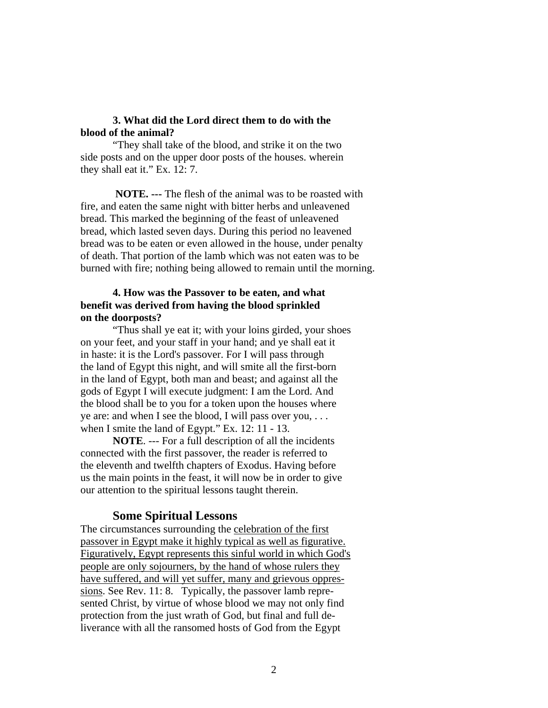### **3. What did the Lord direct them to do with the blood of the animal?**

"They shall take of the blood, and strike it on the two side posts and on the upper door posts of the houses. wherein they shall eat it." Ex. 12: 7.

 **NOTE. ---** The flesh of the animal was to be roasted with fire, and eaten the same night with bitter herbs and unleavened bread. This marked the beginning of the feast of unleavened bread, which lasted seven days. During this period no leavened bread was to be eaten or even allowed in the house, under penalty of death. That portion of the lamb which was not eaten was to be burned with fire; nothing being allowed to remain until the morning.

## **4. How was the Passover to be eaten, and what benefit was derived from having the blood sprinkled on the doorposts?**

"Thus shall ye eat it; with your loins girded, your shoes on your feet, and your staff in your hand; and ye shall eat it in haste: it is the Lord's passover. For I will pass through the land of Egypt this night, and will smite all the first-born in the land of Egypt, both man and beast; and against all the gods of Egypt I will execute judgment: I am the Lord. And the blood shall be to you for a token upon the houses where ye are: and when I see the blood, I will pass over you, . . . when I smite the land of Egypt." Ex. 12: 11 - 13.

**NOTE**. --- For a full description of all the incidents connected with the first passover, the reader is referred to the eleventh and twelfth chapters of Exodus. Having before us the main points in the feast, it will now be in order to give our attention to the spiritual lessons taught therein.

### **Some Spiritual Lessons**

The circumstances surrounding the celebration of the first passover in Egypt make it highly typical as well as figurative. Figuratively, Egypt represents this sinful world in which God's people are only sojourners, by the hand of whose rulers they have suffered, and will yet suffer, many and grievous oppressions. See Rev. 11: 8. Typically, the passover lamb represented Christ, by virtue of whose blood we may not only find protection from the just wrath of God, but final and full deliverance with all the ransomed hosts of God from the Egypt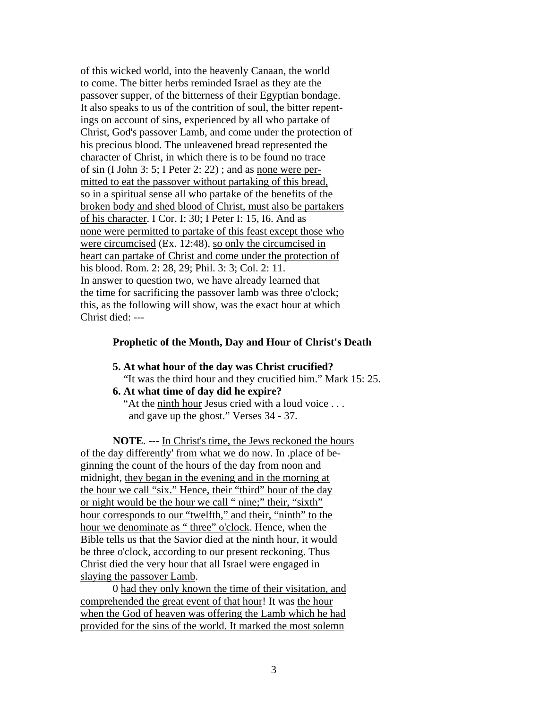of this wicked world, into the heavenly Canaan, the world to come. The bitter herbs reminded Israel as they ate the passover supper, of the bitterness of their Egyptian bondage. It also speaks to us of the contrition of soul, the bitter repentings on account of sins, experienced by all who partake of Christ, God's passover Lamb, and come under the protection of his precious blood. The unleavened bread represented the character of Christ, in which there is to be found no trace of sin (I John 3: 5; I Peter 2: 22) ; and as none were permitted to eat the passover without partaking of this bread, so in a spiritual sense all who partake of the benefits of the broken body and shed blood of Christ, must also be partakers of his character. I Cor. I: 30; I Peter I: 15, I6. And as none were permitted to partake of this feast except those who were circumcised (Ex. 12:48), so only the circumcised in heart can partake of Christ and come under the protection of his blood. Rom. 2: 28, 29; Phil. 3: 3; Col. 2: 11. In answer to question two, we have already learned that the time for sacrificing the passover lamb was three o'clock; this, as the following will show, was the exact hour at which Christ died: ---

#### **Prophetic of the Month, Day and Hour of Christ's Death**

### **5. At what hour of the day was Christ crucified?**

"It was the third hour and they crucified him." Mark 15: 25.

## **6. At what time of day did he expire?**

 "At the ninth hour Jesus cried with a loud voice . . . and gave up the ghost." Verses 34 - 37.

**NOTE**. --- In Christ's time, the Jews reckoned the hours of the day differently' from what we do now. In .place of beginning the count of the hours of the day from noon and midnight, they began in the evening and in the morning at the hour we call "six." Hence, their "third" hour of the day or night would be the hour we call " nine;" their, "sixth" hour corresponds to our "twelfth," and their, "ninth" to the hour we denominate as "three" o'clock. Hence, when the Bible tells us that the Savior died at the ninth hour, it would be three o'clock, according to our present reckoning. Thus Christ died the very hour that all Israel were engaged in slaying the passover Lamb.

 0 had they only known the time of their visitation, and comprehended the great event of that hour! It was the hour when the God of heaven was offering the Lamb which he had provided for the sins of the world. It marked the most solemn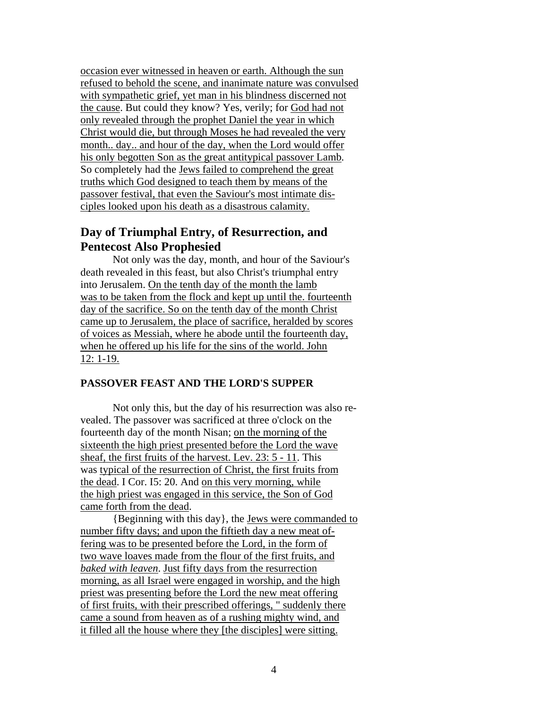occasion ever witnessed in heaven or earth. Although the sun refused to behold the scene, and inanimate nature was convulsed with sympathetic grief, yet man in his blindness discerned not the cause. But could they know? Yes, verily; for God had not only revealed through the prophet Daniel the year in which Christ would die, but through Moses he had revealed the very month.. day.. and hour of the day, when the Lord would offer his only begotten Son as the great antitypical passover Lamb. So completely had the Jews failed to comprehend the great truths which God designed to teach them by means of the passover festival, that even the Saviour's most intimate disciples looked upon his death as a disastrous calamity.

# **Day of Triumphal Entry, of Resurrection, and Pentecost Also Prophesied**

 Not only was the day, month, and hour of the Saviour's death revealed in this feast, but also Christ's triumphal entry into Jerusalem. On the tenth day of the month the lamb was to be taken from the flock and kept up until the. fourteenth day of the sacrifice. So on the tenth day of the month Christ came up to Jerusalem, the place of sacrifice, heralded by scores of voices as Messiah, where he abode until the fourteenth day, when he offered up his life for the sins of the world. John 12: 1-19.

### **PASSOVER FEAST AND THE LORD'S SUPPER**

Not only this, but the day of his resurrection was also revealed. The passover was sacrificed at three o'clock on the fourteenth day of the month Nisan; on the morning of the sixteenth the high priest presented before the Lord the wave sheaf, the first fruits of the harvest. Lev. 23: 5 - 11. This was typical of the resurrection of Christ, the first fruits from the dead. I Cor. I5: 20. And on this very morning, while the high priest was engaged in this service, the Son of God came forth from the dead.

{Beginning with this day}, the Jews were commanded to number fifty days; and upon the fiftieth day a new meat offering was to be presented before the Lord, in the form of two wave loaves made from the flour of the first fruits, and *baked with leaven*. Just fifty days from the resurrection morning, as all Israel were engaged in worship, and the high priest was presenting before the Lord the new meat offering of first fruits, with their prescribed offerings, " suddenly there came a sound from heaven as of a rushing mighty wind, and it filled all the house where they [the disciples] were sitting.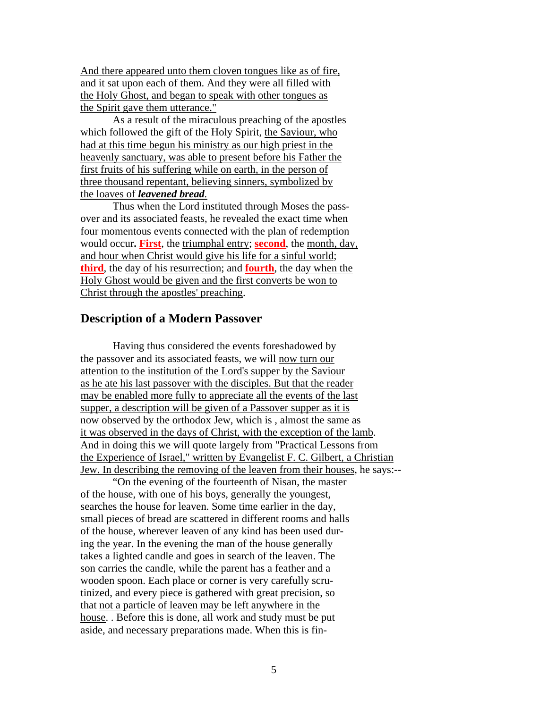And there appeared unto them cloven tongues like as of fire, and it sat upon each of them. And they were all filled with the Holy Ghost, and began to speak with other tongues as the Spirit gave them utterance."

As a result of the miraculous preaching of the apostles which followed the gift of the Holy Spirit, the Saviour, who had at this time begun his ministry as our high priest in the heavenly sanctuary, was able to present before his Father the first fruits of his suffering while on earth, in the person of three thousand repentant, believing sinners, symbolized by the loaves of *leavened bread.*

 Thus when the Lord instituted through Moses the passover and its associated feasts, he revealed the exact time when four momentous events connected with the plan of redemption would occur**. First**, the triumphal entry; **second**, the month, day, and hour when Christ would give his life for a sinful world; **third**, the day of his resurrection; and **fourth**, the day when the Holy Ghost would be given and the first converts be won to Christ through the apostles' preaching.

## **Description of a Modern Passover**

Having thus considered the events foreshadowed by the passover and its associated feasts, we will now turn our attention to the institution of the Lord's supper by the Saviour as he ate his last passover with the disciples. But that the reader may be enabled more fully to appreciate all the events of the last supper, a description will be given of a Passover supper as it is now observed by the orthodox Jew, which is , almost the same as it was observed in the days of Christ, with the exception of the lamb. And in doing this we will quote largely from "Practical Lessons from the Experience of Israel," written by Evangelist F. C. Gilbert, a Christian Jew. In describing the removing of the leaven from their houses, he says:--

"On the evening of the fourteenth of Nisan, the master of the house, with one of his boys, generally the youngest, searches the house for leaven. Some time earlier in the day, small pieces of bread are scattered in different rooms and halls of the house, wherever leaven of any kind has been used during the year. In the evening the man of the house generally takes a lighted candle and goes in search of the leaven. The son carries the candle, while the parent has a feather and a wooden spoon. Each place or corner is very carefully scrutinized, and every piece is gathered with great precision, so that not a particle of leaven may be left anywhere in the house. . Before this is done, all work and study must be put aside, and necessary preparations made. When this is fin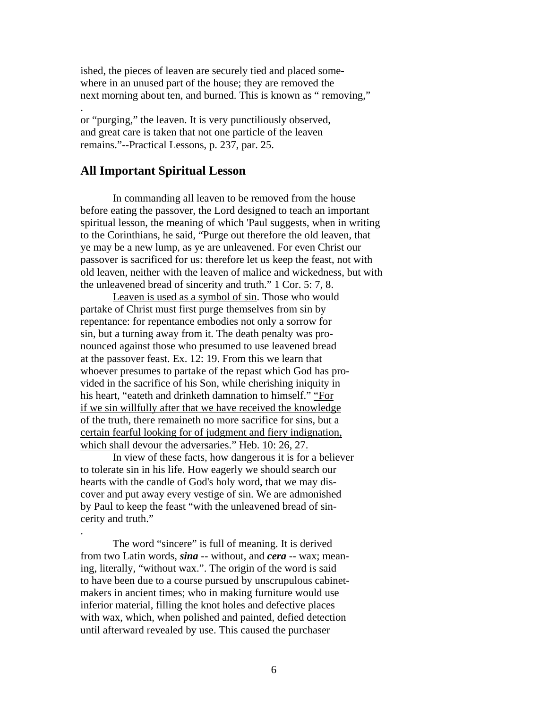ished, the pieces of leaven are securely tied and placed somewhere in an unused part of the house; they are removed the next morning about ten, and burned. This is known as " removing,"

or "purging," the leaven. It is very punctiliously observed, and great care is taken that not one particle of the leaven remains."--Practical Lessons, p. 237, par. 25.

### **All Important Spiritual Lesson**

.

.

In commanding all leaven to be removed from the house before eating the passover, the Lord designed to teach an important spiritual lesson, the meaning of which 'Paul suggests, when in writing to the Corinthians, he said, "Purge out therefore the old leaven, that ye may be a new lump, as ye are unleavened. For even Christ our passover is sacrificed for us: therefore let us keep the feast, not with old leaven, neither with the leaven of malice and wickedness, but with the unleavened bread of sincerity and truth." 1 Cor. 5: 7, 8.

Leaven is used as a symbol of sin. Those who would partake of Christ must first purge themselves from sin by repentance: for repentance embodies not only a sorrow for sin, but a turning away from it. The death penalty was pronounced against those who presumed to use leavened bread at the passover feast. Ex. 12: 19. From this we learn that whoever presumes to partake of the repast which God has provided in the sacrifice of his Son, while cherishing iniquity in his heart, "eateth and drinketh damnation to himself." "For if we sin willfully after that we have received the knowledge of the truth, there remaineth no more sacrifice for sins, but a certain fearful looking for of judgment and fiery indignation, which shall devour the adversaries." Heb. 10: 26, 27.

In view of these facts, how dangerous it is for a believer to tolerate sin in his life. How eagerly we should search our hearts with the candle of God's holy word, that we may discover and put away every vestige of sin. We are admonished by Paul to keep the feast "with the unleavened bread of sincerity and truth."

The word "sincere" is full of meaning. It is derived from two Latin words, *sina* -- without, and *cera* -- wax; meaning, literally, "without wax.". The origin of the word is said to have been due to a course pursued by unscrupulous cabinetmakers in ancient times; who in making furniture would use inferior material, filling the knot holes and defective places with wax, which, when polished and painted, defied detection until afterward revealed by use. This caused the purchaser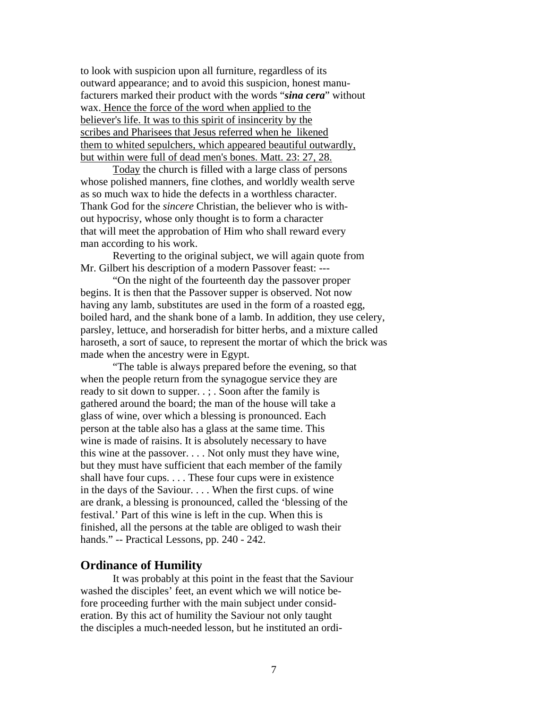to look with suspicion upon all furniture, regardless of its outward appearance; and to avoid this suspicion, honest manufacturers marked their product with the words "*sina cera*" without wax. Hence the force of the word when applied to the believer's life. It was to this spirit of insincerity by the scribes and Pharisees that Jesus referred when he likened them to whited sepulchers, which appeared beautiful outwardly, but within were full of dead men's bones. Matt. 23: 27, 28.

Today the church is filled with a large class of persons whose polished manners, fine clothes, and worldly wealth serve as so much wax to hide the defects in a worthless character. Thank God for the *sincere* Christian, the believer who is without hypocrisy, whose only thought is to form a character that will meet the approbation of Him who shall reward every man according to his work.

Reverting to the original subject, we will again quote from Mr. Gilbert his description of a modern Passover feast: ---

 "On the night of the fourteenth day the passover proper begins. It is then that the Passover supper is observed. Not now having any lamb, substitutes are used in the form of a roasted egg, boiled hard, and the shank bone of a lamb. In addition, they use celery, parsley, lettuce, and horseradish for bitter herbs, and a mixture called haroseth, a sort of sauce, to represent the mortar of which the brick was made when the ancestry were in Egypt.

"The table is always prepared before the evening, so that when the people return from the synagogue service they are ready to sit down to supper. . ; . Soon after the family is gathered around the board; the man of the house will take a glass of wine, over which a blessing is pronounced. Each person at the table also has a glass at the same time. This wine is made of raisins. It is absolutely necessary to have this wine at the passover. . . . Not only must they have wine, but they must have sufficient that each member of the family shall have four cups. . . . These four cups were in existence in the days of the Saviour. . . . When the first cups. of wine are drank, a blessing is pronounced, called the 'blessing of the festival.' Part of this wine is left in the cup. When this is finished, all the persons at the table are obliged to wash their hands." -- Practical Lessons, pp. 240 - 242.

### **Ordinance of Humility**

It was probably at this point in the feast that the Saviour washed the disciples' feet, an event which we will notice before proceeding further with the main subject under consideration. By this act of humility the Saviour not only taught the disciples a much-needed lesson, but he instituted an ordi-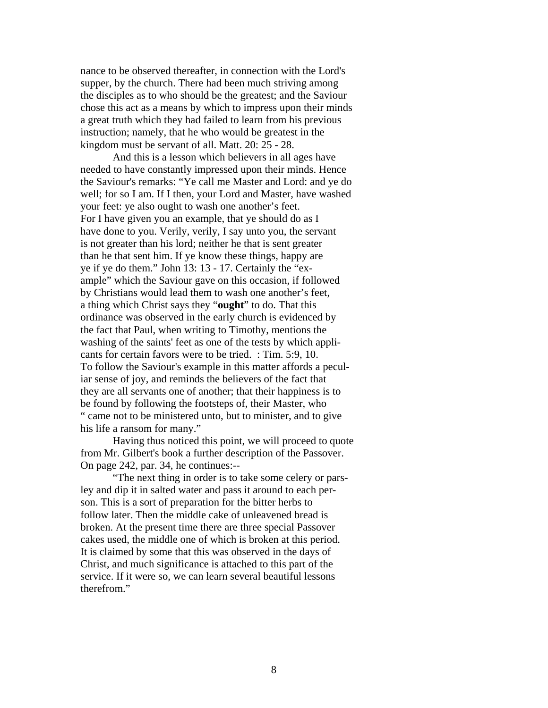nance to be observed thereafter, in connection with the Lord's supper, by the church. There had been much striving among the disciples as to who should be the greatest; and the Saviour chose this act as a means by which to impress upon their minds a great truth which they had failed to learn from his previous instruction; namely, that he who would be greatest in the kingdom must be servant of all. Matt. 20: 25 - 28.

And this is a lesson which believers in all ages have needed to have constantly impressed upon their minds. Hence the Saviour's remarks: "Ye call me Master and Lord: and ye do well; for so I am. If I then, your Lord and Master, have washed your feet: ye also ought to wash one another's feet. For I have given you an example, that ye should do as I have done to you. Verily, verily, I say unto you, the servant is not greater than his lord; neither he that is sent greater than he that sent him. If ye know these things, happy are ye if ye do them." John 13: 13 - 17. Certainly the "example" which the Saviour gave on this occasion, if followed by Christians would lead them to wash one another's feet, a thing which Christ says they "**ought**" to do. That this ordinance was observed in the early church is evidenced by the fact that Paul, when writing to Timothy, mentions the washing of the saints' feet as one of the tests by which applicants for certain favors were to be tried. : Tim. 5:9, 10. To follow the Saviour's example in this matter affords a peculiar sense of joy, and reminds the believers of the fact that they are all servants one of another; that their happiness is to be found by following the footsteps of, their Master, who " came not to be ministered unto, but to minister, and to give his life a ransom for many."

Having thus noticed this point, we will proceed to quote from Mr. Gilbert's book a further description of the Passover. On page 242, par. 34, he continues:--

"The next thing in order is to take some celery or parsley and dip it in salted water and pass it around to each person. This is a sort of preparation for the bitter herbs to follow later. Then the middle cake of unleavened bread is broken. At the present time there are three special Passover cakes used, the middle one of which is broken at this period. It is claimed by some that this was observed in the days of Christ, and much significance is attached to this part of the service. If it were so, we can learn several beautiful lessons therefrom."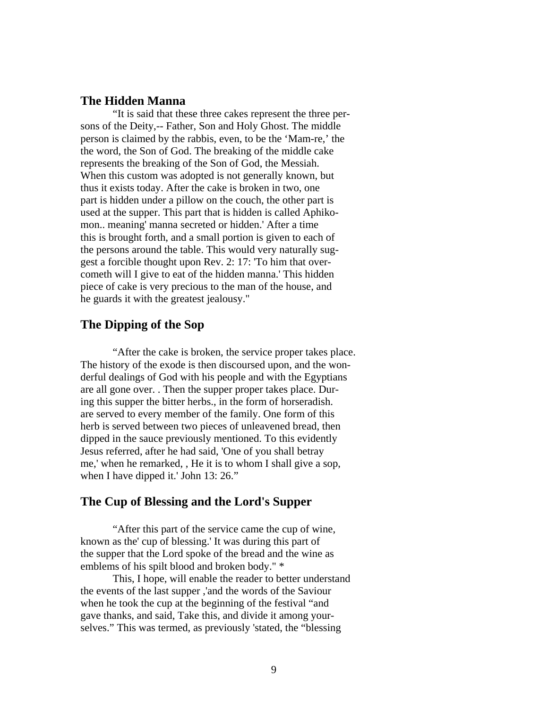### **The Hidden Manna**

"It is said that these three cakes represent the three persons of the Deity,-- Father, Son and Holy Ghost. The middle person is claimed by the rabbis, even, to be the 'Mam-re,' the the word, the Son of God. The breaking of the middle cake represents the breaking of the Son of God, the Messiah. When this custom was adopted is not generally known, but thus it exists today. After the cake is broken in two, one part is hidden under a pillow on the couch, the other part is used at the supper. This part that is hidden is called Aphikomon.. meaning' manna secreted or hidden.' After a time this is brought forth, and a small portion is given to each of the persons around the table. This would very naturally suggest a forcible thought upon Rev. 2: 17: 'To him that overcometh will I give to eat of the hidden manna.' This hidden piece of cake is very precious to the man of the house, and he guards it with the greatest jealousy."

## **The Dipping of the Sop**

"After the cake is broken, the service proper takes place. The history of the exode is then discoursed upon, and the wonderful dealings of God with his people and with the Egyptians are all gone over. . Then the supper proper takes place. During this supper the bitter herbs., in the form of horseradish. are served to every member of the family. One form of this herb is served between two pieces of unleavened bread, then dipped in the sauce previously mentioned. To this evidently Jesus referred, after he had said, 'One of you shall betray me,' when he remarked, , He it is to whom I shall give a sop, when I have dipped it.' John 13: 26."

## **The Cup of Blessing and the Lord's Supper**

"After this part of the service came the cup of wine, known as the' cup of blessing.' It was during this part of the supper that the Lord spoke of the bread and the wine as emblems of his spilt blood and broken body." \*

This, I hope, will enable the reader to better understand the events of the last supper ,'and the words of the Saviour when he took the cup at the beginning of the festival "and gave thanks, and said, Take this, and divide it among yourselves." This was termed, as previously 'stated, the "blessing